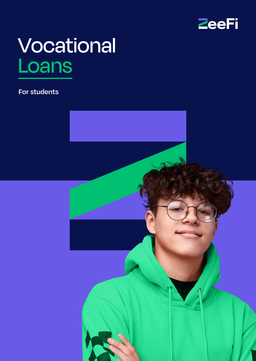

# **Vocational** Loans

#### **For students**

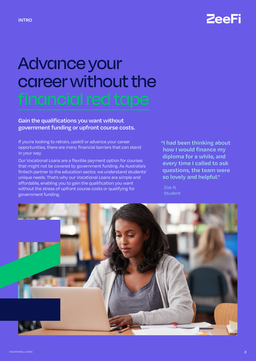

# Advance your career without the

#### **Gain the qualifications you want without government funding or upfront course costs.**

If you're looking to retrain, upskill or advance your career opportunities, there are many financial barriers that can stand in your way.

Our Vocational Loans are a flexible payment option for courses that might not be covered by government funding. As Australia's fintech partner to the education sector, we understand students' unique needs. That's why our Vocational Loans are simple and affordable, enabling you to gain the qualification you want without the stress of upfront course costs or qualifying for government funding.

**"I had been thinking about how I would finance my diploma for a while, and every time I called to ask questions, the team were so lovely and helpful."**

Zoe R, Student

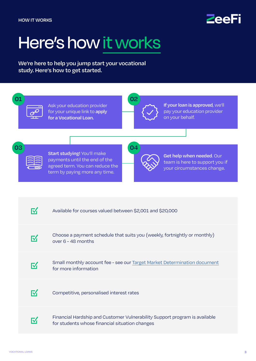

### Here's how it works

**We're here to help you jump start your vocational study. Here's how to get started.**

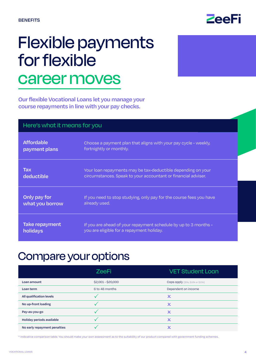

### Flexible payments for flexible career moves

**Our flexible Vocational Loans let you manage your course repayments in line with your pay checks.**

| Here's what it means for you |                                                                     |  |
|------------------------------|---------------------------------------------------------------------|--|
| <b>Affordable</b>            | Choose a payment plan that aligns with your pay cycle - weekly,     |  |
| payment plans                | fortnightly or monthly.                                             |  |
| <b>Tax</b>                   | Your loan repayments may be tax-deductible depending on your        |  |
| deductible                   | circumstances. Speak to your accountant or financial adviser.       |  |
| Only pay for                 | If you need to stop studying, only pay for the course fees you have |  |
| what you borrow              | already used.                                                       |  |
| Take repayment               | If you are ahead of your repayment schedule by up to 3 months -     |  |
| holidays                     | you are eligible for a repayment holiday.                           |  |

### Compare your options

|                              | <b>ZeeFi</b>       | <b>VET Student Loan</b>           |
|------------------------------|--------------------|-----------------------------------|
| Loan amount                  | \$2,001 - \$20,000 | Caps apply (\$5k, \$10k or \$15k) |
| Loan term                    | 6 to 48 months     | Dependent on income               |
| All qualification levels     |                    | X                                 |
| No up-front loading          |                    | x                                 |
| Pay-as-you-go                |                    | $\pmb{\times}$                    |
| Holiday periods available    |                    | x                                 |
| No early repayment penalties |                    |                                   |

\* Indicative comparison table. You should make your own assessment as to the suitability of our product compared with government funding schemes.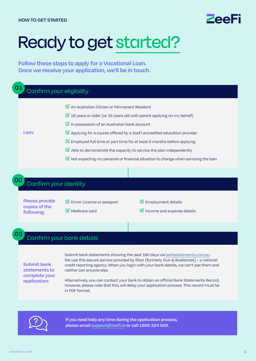### ZAAF

### Ready to get started?

**Follow these steps to apply for a Vocational Loan. Once we receive your application, we'll be in touch.** 

#### Confirm your eligibility **I am: ☑**An Australian Citizen or Permanent Resident **☑**18 years or older (or 16 years old with parent applying on my behalf) **☑**In possession of an Australian bank account **☑**Applying for a course offered by a ZeeFi accredited education provider **☑**Employed full time or part time for at least 6 months before applying **☑**Able to demonstrate the capacity to service the plan independently **☑**Not expecting my personal or financial situation to change when servicing the loan **01**

#### Confirm your identity

**Please provide copies of the following:**

**02**

**03**

**☑**Driver Licence or passport **☑**Medicare card

**☑**Employment details

**☑**Income and expense details

#### Confirm your bank details

**Submit bank statements to complete your application:**

Submit bank statements showing the past 180 days via [bankstatements.com.au.](http://BankStatements.com.au) We use this secure service provided by Illion (formerly Dun & Bradstreet) – a national credit reporting agency. When you login with your bank details, we can't see them and neither can anyone else.

Alternatively, you can contact your bank to obtain an official Bank Statements Record, however, please note that this will delay your application process. This record must be in PDF format.



**If you need help any time during the application process, please email [support@](mailto:support%40zeefi.io?subject=)zeefi.io or call 1800 324 909.**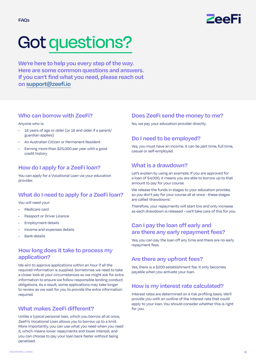

## Got questions?

**We're here to help you every step of the way. Here are some common questions and answers. If you can't find what you need, please reach out on [support@zeefi.io](mailto:support%40zeefi.io?subject=)**

#### **Who can borrow with ZeeFi?**

#### Anyone who is:

- 18 years of age or older (or 16 and older if a parent/ guardian applies)
- An Australian Citizen or Permanent Resident
- Earning more than \$25,000 per year with a good credit history

#### **How do I apply for a ZeeFi loan?**

You can apply for a Vocational Loan via your education provider.

#### **What do I need to apply for a ZeeFi loan?**

You will need your:

- Medicare card
- Passport or Driver Licence
- Employment details
- Income and expenses details
- Bank details

#### **How long does it take to process my application?**

We aim to approve applications within an hour if all the required information is supplied. Sometimes we need to take a closer look at your circumstances so we might ask for extra information to ensure we follow responsible lending conduct obligations. As a result, some applications may take longer to review as we wait for you to provide the extra information required.

#### **What makes ZeeFi different?**

Unlike a typical personal loan, which you borrow all at once, ZeeFi's Vocational Loan allows you to borrow up to a limit. More importantly, you can use what you need when you need it, which means lower repayments and lower interest, and you can choose to pay your loan back faster without being penalised.

#### **Does ZeeFi send the money to me?**

No, we pay your education provider directly.

#### **Do I need to be employed?**

Yes, you must have an income. It can be part time, full time, casual or self-employed.

#### **What is a drawdown?**

Let's explain by using an example: If you are approved for a loan of \$4,000, it means you are able to borrow up to that amount to pay for your course.

We release the funds in stages to your education provider, so you don't pay for your course all at once - these stages are called 'drawdowns'.

Therefore, your repayments will start low and only increase as each drawdown is released - we'll take care of this for you.

#### **Can I pay the loan off early and are there any early repayment fees?**

Yes, you can pay the loan off any time and there are no early repayment fees.

#### **Are there any upfront fees?**

Yes, there is a \$200 establishment fee. It only becomes payable when you activate your loan.

#### **How is my interest rate calculated?**

Interest rates are determined on a risk profiling basis. We'll provide you with an outline of the interest rate that could apply to your loan. You should consider whether this is right for you.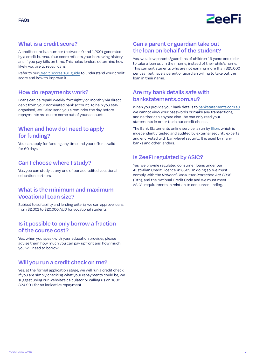

#### **What is a credit score?**

A credit score is a number (between 0 and 1,200) generated by a credit bureau. Your score reflects your borrowing history and if you pay bills on time. This helps lenders determine how likely you are to repay loans.

Refer to our [Credit Scores 101 guide](https://zeefi.io/wp-content/uploads/2022/02/ZeeFi-Credit-Scores-101.pdf) to understand your credit score and how to improve it.

#### **How do repayments work?**

Loans can be repaid weekly, fortnightly or monthly via direct debit from your nominated bank account. To help you stay organised, we'll also send you a reminder the day before repayments are due to come out of your account.

#### **When and how do I need to apply for funding?**

You can apply for funding any time and your offer is valid for 60 days.

#### **Can I choose where I study?**

Yes, you can study at any one of our accredited vocational education partners.

#### **What is the minimum and maximum Vocational Loan size?**

Subject to suitability and lending criteria, we can approve loans from \$2,001 to \$20,000 AUD for vocational students.

#### **Is it possible to only borrow a fraction of the course cost?**

Yes, when you speak with your education provider, please advise them how much you can pay upfront and how much you will need to borrow.

#### **Will you run a credit check on me?**

Yes, at the formal application stage, we will run a credit check. If you are simply checking what your repayments could be, we suggest using our website's calculator or calling us on 1800 324 909 for an indicative repayment.

#### **Can a parent or guardian take out the loan on behalf of the student?**

Yes, we allow parents/guardians of children 16 years and older to take a loan out in their name, instead of their child's name. This can suit students who are not earning more than \$25,000 per year but have a parent or guardian willing to take out the loan in their name.

#### **Are my bank details safe with bankstatements.com.au?**

When you provide your bank details to [bankstatements.com.au](http://bankstatements.com.au) we cannot view your passwords or make any transactions, and neither can anyone else. We can only read your statements in order to do our credit checks.

The Bank Statements online service is run by [Illion,](https://bankstatements.com.au/about/security) which is independently tested and audited by external security experts and encrypted with bank-level security. It is used by many banks and other lenders.

#### **Is ZeeFi regulated by ASIC?**

Yes, we provide regulated consumer loans under our Australian Credit Licence 498589. In doing so, we must comply with the *National Consumer Protection Act 2006* (Cth), and the National Credit Code and we must meet ASIC's requirements in relation to consumer lending.